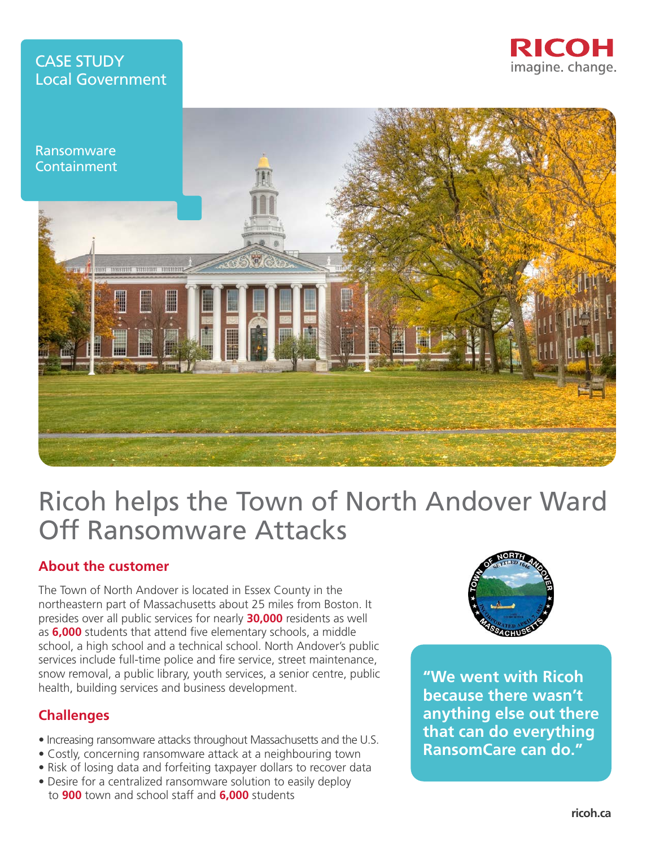# CASE STUDY Local Government





# Ricoh helps the Town of North Andover Ward Off Ransomware Attacks

## **About the customer**

The Town of North Andover is located in Essex County in the northeastern part of Massachusetts about 25 miles from Boston. It presides over all public services for nearly **30,000** residents as well as **6,000** students that attend five elementary schools, a middle school, a high school and a technical school. North Andover's public services include full-time police and fire service, street maintenance, snow removal, a public library, youth services, a senior centre, public health, building services and business development.

## **Challenges**

- Increasing ransomware attacks throughout Massachusetts and the U.S.
- Costly, concerning ransomware attack at a neighbouring town
- Risk of losing data and forfeiting taxpayer dollars to recover data
- Desire for a centralized ransomware solution to easily deploy to **900** town and school staff and **6,000** students



**"We went with Ricoh because there wasn't anything else out there that can do everything RansomCare can do."**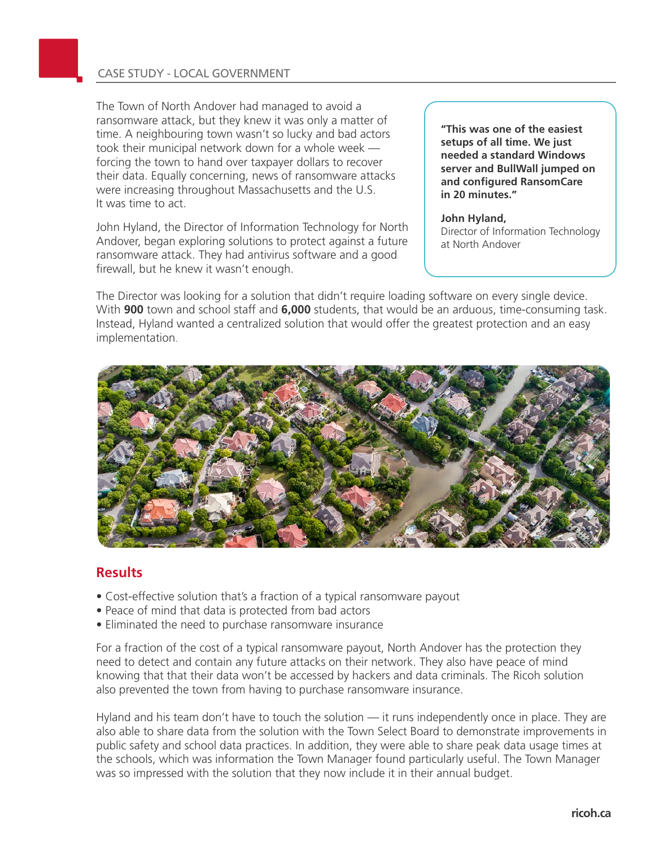#### CASE STUDY - LOCAL GOVERNMENT

The Town of North Andover had managed to avoid a ransomware attack, but they knew it was only a matter of time. A neighbouring town wasn't so lucky and bad actors took their municipal network down for a whole week forcing the town to hand over taxpayer dollars to recover their data. Equally concerning, news of ransomware attacks were increasing throughout Massachusetts and the U.S. It was time to act.

John Hyland, the Director of Information Technology for North Andover, began exploring solutions to protect against a future ransomware attack. They had antivirus software and a good firewall, but he knew it wasn't enough.

**"This was one of the easiest setups of all time. We just needed a standard Windows server and BullWall jumped on and configured RansomCare in 20 minutes."**

**John Hyland,** Director of Information Technology at North Andover

The Director was looking for a solution that didn't require loading software on every single device. With **900** town and school staff and **6,000** students, that would be an arduous, time-consuming task. Instead, Hyland wanted a centralized solution that would offer the greatest protection and an easy implementation.



#### **Results**

- Cost-effective solution that's a fraction of a typical ransomware payout
- Peace of mind that data is protected from bad actors
- Eliminated the need to purchase ransomware insurance

For a fraction of the cost of a typical ransomware payout, North Andover has the protection they need to detect and contain any future attacks on their network. They also have peace of mind knowing that that their data won't be accessed by hackers and data criminals. The Ricoh solution also prevented the town from having to purchase ransomware insurance.

Hyland and his team don't have to touch the solution — it runs independently once in place. They are also able to share data from the solution with the Town Select Board to demonstrate improvements in public safety and school data practices. In addition, they were able to share peak data usage times at the schools, which was information the Town Manager found particularly useful. The Town Manager was so impressed with the solution that they now include it in their annual budget.